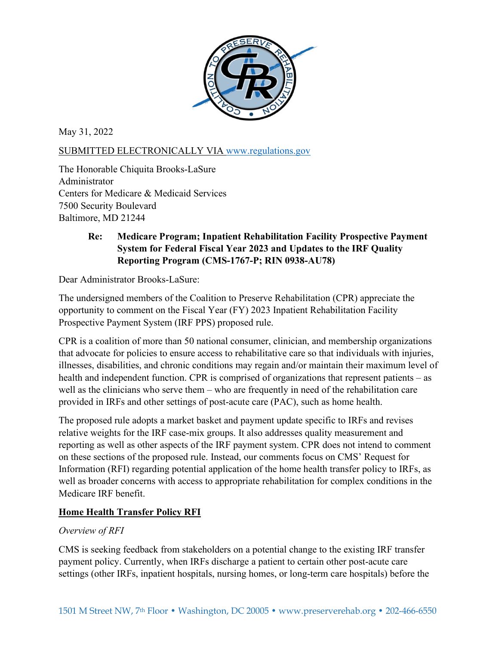

May 31, 2022

# SUBMITTED ELECTRONICALLY VIA [www.regulations.gov](http://www.regulations.gov/)

The Honorable Chiquita Brooks-LaSure Administrator Centers for Medicare & Medicaid Services 7500 Security Boulevard Baltimore, MD 21244

# **Re: Medicare Program; Inpatient Rehabilitation Facility Prospective Payment System for Federal Fiscal Year 2023 and Updates to the IRF Quality Reporting Program (CMS-1767-P; RIN 0938-AU78)**

Dear Administrator Brooks-LaSure:

The undersigned members of the Coalition to Preserve Rehabilitation (CPR) appreciate the opportunity to comment on the Fiscal Year (FY) 2023 Inpatient Rehabilitation Facility Prospective Payment System (IRF PPS) proposed rule.

CPR is a coalition of more than 50 national consumer, clinician, and membership organizations that advocate for policies to ensure access to rehabilitative care so that individuals with injuries, illnesses, disabilities, and chronic conditions may regain and/or maintain their maximum level of health and independent function. CPR is comprised of organizations that represent patients – as well as the clinicians who serve them – who are frequently in need of the rehabilitation care provided in IRFs and other settings of post-acute care (PAC), such as home health.

The proposed rule adopts a market basket and payment update specific to IRFs and revises relative weights for the IRF case-mix groups. It also addresses quality measurement and reporting as well as other aspects of the IRF payment system. CPR does not intend to comment on these sections of the proposed rule. Instead, our comments focus on CMS' Request for Information (RFI) regarding potential application of the home health transfer policy to IRFs, as well as broader concerns with access to appropriate rehabilitation for complex conditions in the Medicare IRF benefit.

### **Home Health Transfer Policy RFI**

### *Overview of RFI*

CMS is seeking feedback from stakeholders on a potential change to the existing IRF transfer payment policy. Currently, when IRFs discharge a patient to certain other post-acute care settings (other IRFs, inpatient hospitals, nursing homes, or long-term care hospitals) before the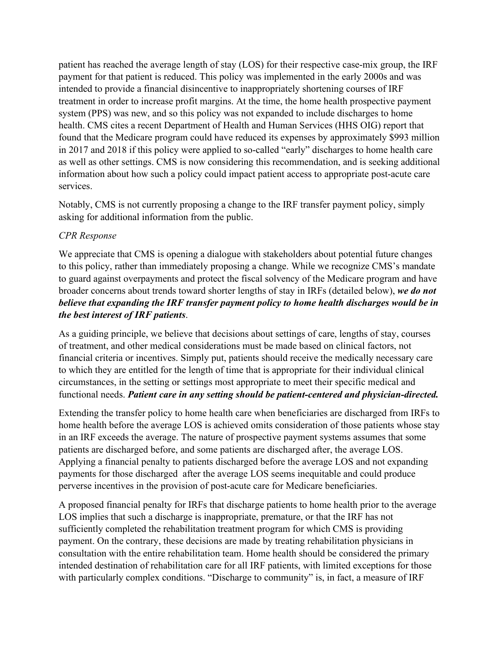patient has reached the average length of stay (LOS) for their respective case-mix group, the IRF payment for that patient is reduced. This policy was implemented in the early 2000s and was intended to provide a financial disincentive to inappropriately shortening courses of IRF treatment in order to increase profit margins. At the time, the home health prospective payment system (PPS) was new, and so this policy was not expanded to include discharges to home health. CMS cites a recent Department of Health and Human Services (HHS OIG) report that found that the Medicare program could have reduced its expenses by approximately \$993 million in 2017 and 2018 if this policy were applied to so-called "early" discharges to home health care as well as other settings. CMS is now considering this recommendation, and is seeking additional information about how such a policy could impact patient access to appropriate post-acute care services.

Notably, CMS is not currently proposing a change to the IRF transfer payment policy, simply asking for additional information from the public.

### *CPR Response*

We appreciate that CMS is opening a dialogue with stakeholders about potential future changes to this policy, rather than immediately proposing a change. While we recognize CMS's mandate to guard against overpayments and protect the fiscal solvency of the Medicare program and have broader concerns about trends toward shorter lengths of stay in IRFs (detailed below), *we do not believe that expanding the IRF transfer payment policy to home health discharges would be in the best interest of IRF patients*.

As a guiding principle, we believe that decisions about settings of care, lengths of stay, courses of treatment, and other medical considerations must be made based on clinical factors, not financial criteria or incentives. Simply put, patients should receive the medically necessary care to which they are entitled for the length of time that is appropriate for their individual clinical circumstances, in the setting or settings most appropriate to meet their specific medical and functional needs. *Patient care in any setting should be patient-centered and physician-directed.*

Extending the transfer policy to home health care when beneficiaries are discharged from IRFs to home health before the average LOS is achieved omits consideration of those patients whose stay in an IRF exceeds the average. The nature of prospective payment systems assumes that some patients are discharged before, and some patients are discharged after, the average LOS. Applying a financial penalty to patients discharged before the average LOS and not expanding payments for those discharged after the average LOS seems inequitable and could produce perverse incentives in the provision of post-acute care for Medicare beneficiaries.

A proposed financial penalty for IRFs that discharge patients to home health prior to the average LOS implies that such a discharge is inappropriate, premature, or that the IRF has not sufficiently completed the rehabilitation treatment program for which CMS is providing payment. On the contrary, these decisions are made by treating rehabilitation physicians in consultation with the entire rehabilitation team. Home health should be considered the primary intended destination of rehabilitation care for all IRF patients, with limited exceptions for those with particularly complex conditions. "Discharge to community" is, in fact, a measure of IRF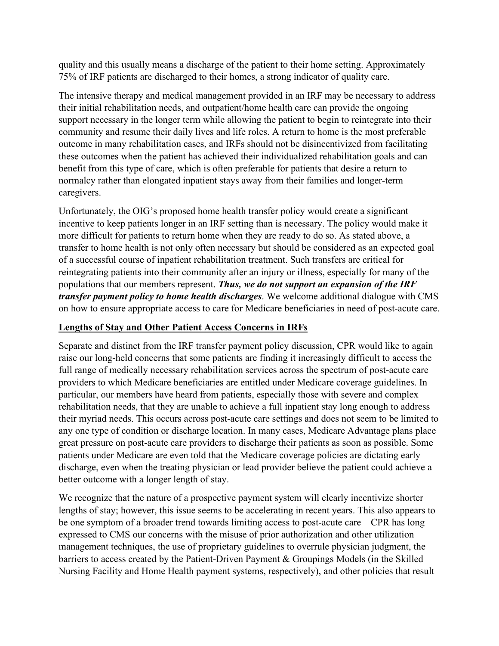quality and this usually means a discharge of the patient to their home setting. Approximately 75% of IRF patients are discharged to their homes, a strong indicator of quality care.

The intensive therapy and medical management provided in an IRF may be necessary to address their initial rehabilitation needs, and outpatient/home health care can provide the ongoing support necessary in the longer term while allowing the patient to begin to reintegrate into their community and resume their daily lives and life roles. A return to home is the most preferable outcome in many rehabilitation cases, and IRFs should not be disincentivized from facilitating these outcomes when the patient has achieved their individualized rehabilitation goals and can benefit from this type of care, which is often preferable for patients that desire a return to normalcy rather than elongated inpatient stays away from their families and longer-term caregivers.

Unfortunately, the OIG's proposed home health transfer policy would create a significant incentive to keep patients longer in an IRF setting than is necessary. The policy would make it more difficult for patients to return home when they are ready to do so. As stated above, a transfer to home health is not only often necessary but should be considered as an expected goal of a successful course of inpatient rehabilitation treatment. Such transfers are critical for reintegrating patients into their community after an injury or illness, especially for many of the populations that our members represent. *Thus, we do not support an expansion of the IRF transfer payment policy to home health discharges*. We welcome additional dialogue with CMS on how to ensure appropriate access to care for Medicare beneficiaries in need of post-acute care.

# **Lengths of Stay and Other Patient Access Concerns in IRFs**

Separate and distinct from the IRF transfer payment policy discussion, CPR would like to again raise our long-held concerns that some patients are finding it increasingly difficult to access the full range of medically necessary rehabilitation services across the spectrum of post-acute care providers to which Medicare beneficiaries are entitled under Medicare coverage guidelines. In particular, our members have heard from patients, especially those with severe and complex rehabilitation needs, that they are unable to achieve a full inpatient stay long enough to address their myriad needs. This occurs across post-acute care settings and does not seem to be limited to any one type of condition or discharge location. In many cases, Medicare Advantage plans place great pressure on post-acute care providers to discharge their patients as soon as possible. Some patients under Medicare are even told that the Medicare coverage policies are dictating early discharge, even when the treating physician or lead provider believe the patient could achieve a better outcome with a longer length of stay.

We recognize that the nature of a prospective payment system will clearly incentivize shorter lengths of stay; however, this issue seems to be accelerating in recent years. This also appears to be one symptom of a broader trend towards limiting access to post-acute care – CPR has long expressed to CMS our concerns with the misuse of prior authorization and other utilization management techniques, the use of proprietary guidelines to overrule physician judgment, the barriers to access created by the Patient-Driven Payment & Groupings Models (in the Skilled Nursing Facility and Home Health payment systems, respectively), and other policies that result